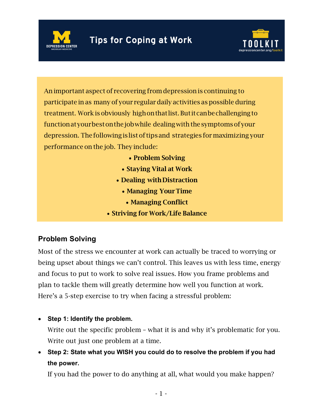



An important aspect of recovering fromdepression is continuing to participate in as many of your regular daily activities as possible during treatment. Work is obviously highonthatlist. Butitcanbechallengingto function at your best on the job while dealing with the symptoms of your depression. Thefollowingislistof tipsand strategies for maximizing your performance on the job. They include:

- Problem Solving
- Staying Vital at Work
- Dealing withDistraction
	- Managing Your Time
		- Managing Conflict
- Striving for Work/Life Balance

# **Problem Solving**

Most of the stress we encounter at work can actually be traced to worrying or being upset about things we can't control. This leaves us with less time, energy and focus to put to work to solve real issues. How you frame problems and plan to tackle them will greatly determine how well you function at work. Here's a 5-step exercise to try when facing a stressful problem:

• **Step 1: Identify the problem.**

Write out the specific problem – what it is and why it's problematic for you. Write out just one problem at a time.

• **Step 2: State what you WISH you could do to resolve the problem if you had the power.**

If you had the power to do anything at all, what would you make happen?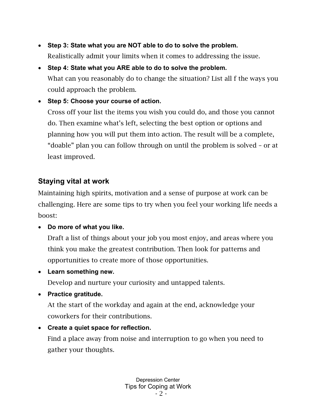- **Step 3: State what you are NOT able to do to solve the problem.** Realistically admit your limits when it comes to addressing the issue.
- **Step 4: State what you ARE able to do to solve the problem.** What can you reasonably do to change the situation? List all f the ways you could approach the problem.
- **Step 5: Choose your course of action.**

Cross off your list the items you wish you could do, and those you cannot do. Then examine what's left, selecting the best option or options and planning how you will put them into action. The result will be a complete, "doable" plan you can follow through on until the problem is solved – or at least improved.

## **Staying vital at work**

Maintaining high spirits, motivation and a sense of purpose at work can be challenging. Here are some tips to try when you feel your working life needs a boost:

• **Do more of what you like.**

Draft a list of things about your job you most enjoy, and areas where you think you make the greatest contribution. Then look for patterns and opportunities to create more of those opportunities.

• **Learn something new.**

Develop and nurture your curiosity and untapped talents.

• **Practice gratitude.**

At the start of the workday and again at the end, acknowledge your coworkers for their contributions.

• **Create a quiet space for reflection.** Find a place away from noise and interruption to go when you need to gather your thoughts.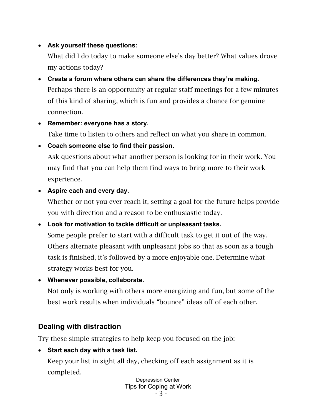#### • **Ask yourself these questions:**

What did I do today to make someone else's day better? What values drove my actions today?

- **Create a forum where others can share the differences they're making.** Perhaps there is an opportunity at regular staff meetings for a few minutes of this kind of sharing, which is fun and provides a chance for genuine connection.
- **Remember: everyone has a story.**

Take time to listen to others and reflect on what you share in common.

• **Coach someone else to find their passion.**

Ask questions about what another person is looking for in their work. You may find that you can help them find ways to bring more to their work experience.

• **Aspire each and every day.**

Whether or not you ever reach it, setting a goal for the future helps provide you with direction and a reason to be enthusiastic today.

• **Look for motivation to tackle difficult or unpleasant tasks.**

Some people prefer to start with a difficult task to get it out of the way. Others alternate pleasant with unpleasant jobs so that as soon as a tough task is finished, it's followed by a more enjoyable one. Determine what strategy works best for you.

• **Whenever possible, collaborate.**

Not only is working with others more energizing and fun, but some of the best work results when individuals "bounce" ideas off of each other.

## **Dealing with distraction**

Try these simple strategies to help keep you focused on the job:

• **Start each day with a task list.**

Keep your list in sight all day, checking off each assignment as it is completed.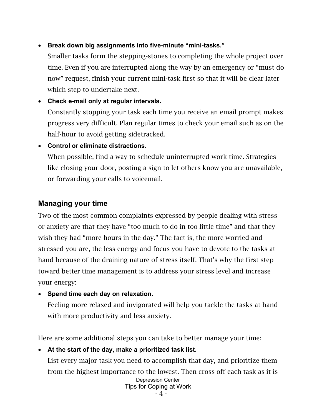#### • **Break down big assignments into five-minute "mini-tasks."**

Smaller tasks form the stepping-stones to completing the whole project over time. Even if you are interrupted along the way by an emergency or "must do now" request, finish your current mini-task first so that it will be clear later which step to undertake next.

- **Check e-mail only at regular intervals.** Constantly stopping your task each time you receive an email prompt makes progress very difficult. Plan regular times to check your email such as on the half-hour to avoid getting sidetracked.
- **Control or eliminate distractions.** When possible, find a way to schedule uninterrupted work time. Strategies like closing your door, posting a sign to let others know you are unavailable, or forwarding your calls to voicemail.

#### **Managing your time**

Two of the most common complaints expressed by people dealing with stress or anxiety are that they have "too much to do in too little time" and that they wish they had "more hours in the day." The fact is, the more worried and stressed you are, the less energy and focus you have to devote to the tasks at hand because of the draining nature of stress itself. That's why the first step toward better time management is to address your stress level and increase your energy:

• **Spend time each day on relaxation.**

Feeling more relaxed and invigorated will help you tackle the tasks at hand with more productivity and less anxiety.

Here are some additional steps you can take to better manage your time:

#### • **At the start of the day, make a prioritized task list.**

Depression Center Tips for Coping at Work List every major task you need to accomplish that day, and prioritize them from the highest importance to the lowest. Then cross off each task as it is

- 4 -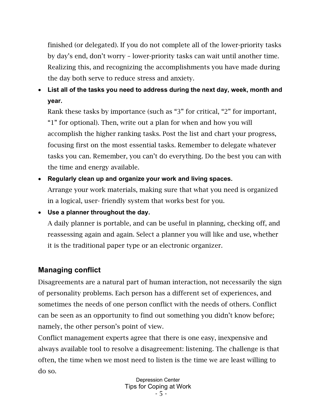finished (or delegated). If you do not complete all of the lower-priority tasks by day's end, don't worry – lower-priority tasks can wait until another time. Realizing this, and recognizing the accomplishments you have made during the day both serve to reduce stress and anxiety.

• **List all of the tasks you need to address during the next day, week, month and year.**

Rank these tasks by importance (such as "3" for critical, "2" for important, "1" for optional). Then, write out a plan for when and how you will accomplish the higher ranking tasks. Post the list and chart your progress, focusing first on the most essential tasks. Remember to delegate whatever tasks you can. Remember, you can't do everything. Do the best you can with the time and energy available.

- **Regularly clean up and organize your work and living spaces.** Arrange your work materials, making sure that what you need is organized in a logical, user- friendly system that works best for you.
- **Use a planner throughout the day.**
	- A daily planner is portable, and can be useful in planning, checking off, and reassessing again and again. Select a planner you will like and use, whether it is the traditional paper type or an electronic organizer.

## **Managing conflict**

Disagreements are a natural part of human interaction, not necessarily the sign of personality problems. Each person has a different set of experiences, and sometimes the needs of one person conflict with the needs of others. Conflict can be seen as an opportunity to find out something you didn't know before; namely, the other person's point of view.

Conflict management experts agree that there is one easy, inexpensive and always available tool to resolve a disagreement: listening. The challenge is that often, the time when we most need to listen is the time we are least willing to do so.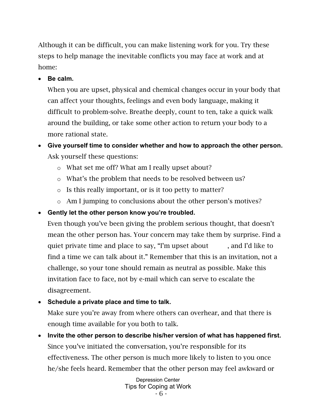Although it can be difficult, you can make listening work for you. Try these steps to help manage the inevitable conflicts you may face at work and at home:

• **Be calm.**

When you are upset, physical and chemical changes occur in your body that can affect your thoughts, feelings and even body language, making it difficult to problem-solve. Breathe deeply, count to ten, take a quick walk around the building, or take some other action to return your body to a more rational state.

- **Give yourself time to consider whether and how to approach the other person.** Ask yourself these questions:
	- o What set me off? What am I really upset about?
	- o What's the problem that needs to be resolved between us?
	- o Is this really important, or is it too petty to matter?
	- o Am I jumping to conclusions about the other person's motives?
- **Gently let the other person know you're troubled.**

Even though you've been giving the problem serious thought, that doesn't mean the other person has. Your concern may take them by surprise. Find a quiet private time and place to say, "I'm upset about , and I'd like to find a time we can talk about it." Remember that this is an invitation, not a challenge, so your tone should remain as neutral as possible. Make this invitation face to face, not by e-mail which can serve to escalate the disagreement.

- **Schedule a private place and time to talk.** Make sure you're away from where others can overhear, and that there is enough time available for you both to talk.
- **Invite the other person to describe his/her version of what has happened first.** Since you've initiated the conversation, you're responsible for its effectiveness. The other person is much more likely to listen to you once he/she feels heard. Remember that the other person may feel awkward or

Depression Center Tips for Coping at Work - 6 -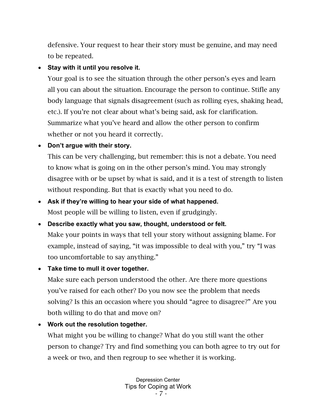defensive. Your request to hear their story must be genuine, and may need to be repeated.

#### • **Stay with it until you resolve it.**

Your goal is to see the situation through the other person's eyes and learn all you can about the situation. Encourage the person to continue. Stifle any body language that signals disagreement (such as rolling eyes, shaking head, etc.). If you're not clear about what's being said, ask for clarification. Summarize what you've heard and allow the other person to confirm whether or not you heard it correctly.

### • **Don't argue with their story.**

This can be very challenging, but remember: this is not a debate. You need to know what is going on in the other person's mind. You may strongly disagree with or be upset by what is said, and it is a test of strength to listen without responding. But that is exactly what you need to do.

# • **Ask if they're willing to hear your side of what happened.** Most people will be willing to listen, even if grudgingly.

• **Describe exactly what you saw, thought, understood or felt.** Make your points in ways that tell your story without assigning blame. For example, instead of saying, "it was impossible to deal with you," try "I was too uncomfortable to say anything."

## • **Take time to mull it over together.**

Make sure each person understood the other. Are there more questions you've raised for each other? Do you now see the problem that needs solving? Is this an occasion where you should "agree to disagree?" Are you both willing to do that and move on?

## • **Work out the resolution together.**

What might you be willing to change? What do you still want the other person to change? Try and find something you can both agree to try out for a week or two, and then regroup to see whether it is working.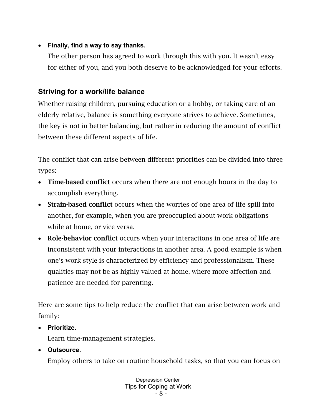#### • **Finally, find a way to say thanks.**

The other person has agreed to work through this with you. It wasn't easy for either of you, and you both deserve to be acknowledged for your efforts.

## **Striving for a work/life balance**

Whether raising children, pursuing education or a hobby, or taking care of an elderly relative, balance is something everyone strives to achieve. Sometimes, the key is not in better balancing, but rather in reducing the amount of conflict between these different aspects of life.

The conflict that can arise between different priorities can be divided into three types:

- Time-based conflict occurs when there are not enough hours in the day to accomplish everything.
- Strain-based conflict occurs when the worries of one area of life spill into another, for example, when you are preoccupied about work obligations while at home, or vice versa.
- Role-behavior conflict occurs when your interactions in one area of life are inconsistent with your interactions in another area. A good example is when one's work style is characterized by efficiency and professionalism. These qualities may not be as highly valued at home, where more affection and patience are needed for parenting.

Here are some tips to help reduce the conflict that can arise between work and family:

• **Prioritize.**

Learn time-management strategies.

• **Outsource.**

Employ others to take on routine household tasks, so that you can focus on